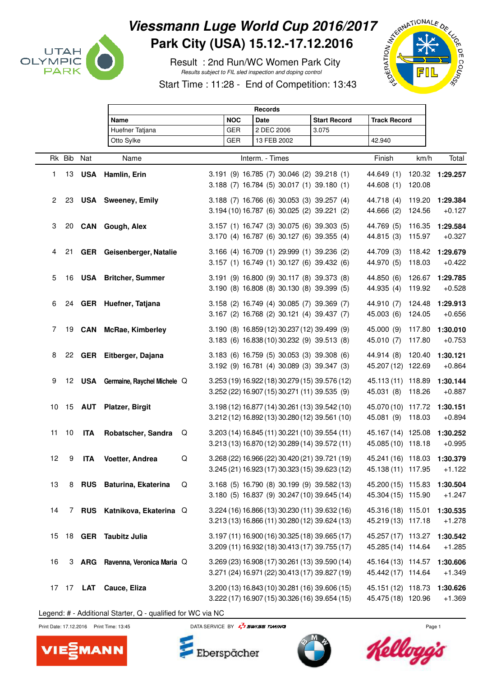

## Viessmann Luge World Cup 2016/2017<br>Park City (USA) 15.12.-17.12.2016<br>Result : 2nd Run/WC Women Park City<br>Start Time **Park City (USA) 15.12.-17.12.2016**

 Result : 2nd Run/WC Women Park City Results subject to FIL sled inspection and doping control

Start Time : 11:28 - End of Competition: 13:43



|        |            | <b>Records</b>   |                                    |   |            |                                                                                                  |                     |                                                   |                  |                      |
|--------|------------|------------------|------------------------------------|---|------------|--------------------------------------------------------------------------------------------------|---------------------|---------------------------------------------------|------------------|----------------------|
|        |            |                  | Name                               |   |            |                                                                                                  | <b>Start Record</b> | <b>Track Record</b>                               |                  |                      |
|        |            |                  | Huefner Tatjana                    |   | <b>GER</b> | 2 DEC 2006                                                                                       | 3.075               |                                                   |                  |                      |
|        |            |                  | Otto Sylke                         |   | <b>GER</b> | 13 FEB 2002                                                                                      |                     | 42.940                                            |                  |                      |
|        | Rk Bib Nat |                  | Name                               |   |            | Interm. - Times                                                                                  | Finish              | km/h                                              | Total            |                      |
| 1.     | 13         |                  | <b>USA</b> Hamlin, Erin            |   |            | 3.191 (9) 16.785 (7) 30.046 (2) 39.218 (1)<br>3.188 (7) 16.784 (5) 30.017 (1) 39.180 (1)         |                     | 44.649 (1)<br>44.608 (1)                          | 120.08           | 120.32 1:29.257      |
| $^{2}$ | 23         |                  | <b>USA</b> Sweeney, Emily          |   |            | 3.188 (7) 16.766 (6) 30.053 (3) 39.257 (4)<br>3.194 (10) 16.787 (6) 30.025 (2) 39.221 (2)        |                     | 44.718 (4)<br>44.666 (2)                          | 119.20<br>124.56 | 1:29.384<br>$+0.127$ |
| 3      | 20         |                  | <b>CAN</b> Gough, Alex             |   |            | 3.157 (1) 16.747 (3) 30.075 (6) 39.303 (5)<br>3.170 (4) 16.787 (6) 30.127 (6) 39.355 (4)         |                     | 44.769 (5)<br>44.815 (3)                          | 116.35<br>115.97 | 1:29.584<br>$+0.327$ |
| 4      | 21         |                  | GER Geisenberger, Natalie          |   |            | 3.166 (4) 16.709 (1) 29.999 (1) 39.236 (2)<br>3.157 (1) 16.749 (1) 30.127 (6) 39.432 (6)         |                     | 44.709 (3)<br>44.970 (5)                          | 118.42<br>118.03 | 1:29.679<br>$+0.422$ |
| 5      | 16         |                  | <b>USA</b> Britcher, Summer        |   |            | 3.191 (9) 16.800 (9) 30.117 (8) 39.373 (8)<br>3.190 (8) 16.808 (8) 30.130 (8) 39.399 (5)         |                     | 44.850 (6)<br>44.935 (4)                          | 126.67<br>119.92 | 1:29.785<br>$+0.528$ |
| 6      |            |                  | 24 GER Huefner, Tatjana            |   |            | 3.158 (2) 16.749 (4) 30.085 (7) 39.369 (7)<br>3.167 (2) 16.768 (2) 30.121 (4) 39.437 (7)         |                     | 44.910 (7)<br>45.003 (6)                          | 124.48<br>124.05 | 1:29.913<br>$+0.656$ |
| 7      |            | 19 <b>CAN</b>    | <b>McRae, Kimberley</b>            |   |            | 3.190 (8) 16.859 (12) 30.237 (12) 39.499 (9)<br>3.183 (6) 16.838 (10) 30.232 (9) 39.513 (8)      |                     | 45.000 (9)<br>45.010 (7)                          | 117.80<br>117.80 | 1:30.010<br>$+0.753$ |
| 8      |            |                  | 22 GER Eitberger, Dajana           |   |            | 3.183 (6) 16.759 (5) 30.053 (3) 39.308 (6)<br>3.192 (9) 16.781 (4) 30.089 (3) 39.347 (3)         |                     | 44.914 (8) 120.40<br>45.207 (12) 122.69           |                  | 1:30.121<br>$+0.864$ |
| 9      |            |                  | 12 USA Germaine, Raychel Michele Q |   |            | 3.253 (19) 16.922 (18) 30.279 (15) 39.576 (12)<br>3.252 (22) 16.907 (15) 30.271 (11) 39.535 (9)  |                     | 45.113 (11) 118.89<br>45.031 (8)                  | 118.26           | 1:30.144<br>$+0.887$ |
| 10     |            |                  | 15 AUT Platzer, Birgit             |   |            | 3.198 (12) 16.877 (14) 30.261 (13) 39.542 (10)<br>3.212 (12) 16.892 (13) 30.280 (12) 39.561 (10) |                     | 45.070 (10) 117.72<br>45.081 (9) 118.03           |                  | 1:30.151<br>$+0.894$ |
| 11     | 10         | <b>ITA</b>       | Robatscher, Sandra                 | Q |            | 3.203 (14) 16.845 (11) 30.221 (10) 39.554 (11)<br>3.213 (13) 16.870 (12) 30.289 (14) 39.572 (11) |                     | 45.167 (14) 125.08<br>45.085 (10) 118.18          |                  | 1:30.252<br>$+0.995$ |
| 12     | 9          | <b>ITA</b>       | Voetter, Andrea                    | Q |            | 3.268 (22) 16.966 (22) 30.420 (21) 39.721 (19)<br>3.245 (21) 16.923 (17) 30.323 (15) 39.623 (12) |                     | 45.241 (16) 118.03 1:30.379<br>45.138 (11) 117.95 |                  | $+1.122$             |
| 13     | 8          |                  | RUS Baturina, Ekaterina            | Q |            | 3.168 (5) 16.790 (8) 30.199 (9) 39.582 (13)<br>3.180 (5) 16.837 (9) 30.247 (10) 39.645 (14)      |                     | 45.200 (15) 115.83<br>45.304 (15) 115.90          |                  | 1:30.504<br>$+1.247$ |
| 14     |            |                  | 7 RUS Katnikova, Ekaterina Q       |   |            | 3.224 (16) 16.866 (13) 30.230 (11) 39.632 (16)<br>3.213 (13) 16.866 (11) 30.280 (12) 39.624 (13) |                     | 45.316 (18) 115.01<br>45.219 (13) 117.18          |                  | 1:30.535<br>$+1.278$ |
| 15     |            |                  | 18 GER Taubitz Julia               |   |            | 3.197 (11) 16.900 (16) 30.325 (18) 39.665 (17)<br>3.209 (11) 16.932 (18) 30.413 (17) 39.755 (17) |                     | 45.257 (17) 113.27<br>45.285 (14) 114.64          |                  | 1:30.542<br>$+1.285$ |
| 16     |            |                  | 3 ARG Ravenna, Veronica Maria Q    |   |            | 3.269 (23) 16.908 (17) 30.261 (13) 39.590 (14)<br>3.271 (24) 16.971 (22) 30.413 (17) 39.827 (19) |                     | 45.164 (13) 114.57<br>45.442 (17) 114.64          |                  | 1:30.606<br>$+1.349$ |
|        |            | 17 17 <b>LAT</b> | Cauce, Eliza                       |   |            | 3.200 (13) 16.843 (10) 30.281 (16) 39.606 (15)<br>3.222 (17) 16.907 (15) 30.326 (16) 39.654 (15) |                     | 45.151 (12) 118.73<br>45.475 (18) 120.96          |                  | 1:30.626<br>$+1.369$ |

Legend: # - Additional Starter, Q - qualified for WC via NC



Print Date: 17.12.2016 Print Time: 13:45 DATA SERVICE BY  $\frac{7}{4}$  SWISS TIMING



Eberspächer